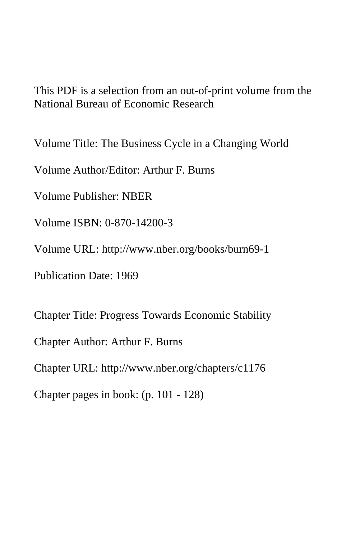This PDF is a selection from an out-of-print volume from the National Bureau of Economic Research

Volume Title: The Business Cycle in a Changing World

Volume Author/Editor: Arthur F. Burns

Volume Publisher: NBER

Volume ISBN: 0-870-14200-3

Volume URL: http://www.nber.org/books/burn69-1

Publication Date: 1969

Chapter Title: Progress Towards Economic Stability Chapter Author: Arthur F. Burns Chapter URL: http://www.nber.org/chapters/c1176 Chapter pages in book: (p. 101 - 128)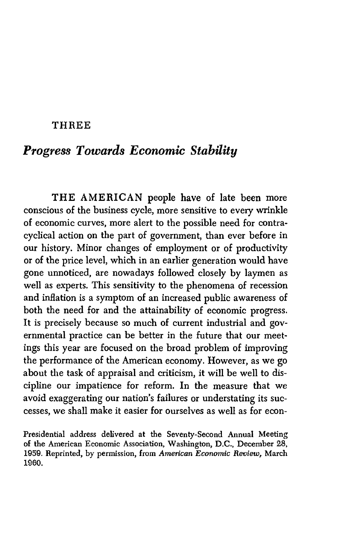### THREE

# Progress Towards Economic Stability

THE AMERICAN people have of late been more conscious of the business cycle, more sensitive to every wrinkle of economic curves, more alert to the possible need for contracyclical action on the part of government, than ever before in our history. Minor changes of employment or of productivity or of the price level, which in an earlier generation would have gone unnoticed, are nowadays followed closely by laymen as well as experts. This sensitivity to the phenomena of recession and inflation is a symptom of an increased public awareness of both the need for and the attainability of economic progress. It is precisely because so much of current industrial and governmental practice can be better in the future that our meetings this year are focused on the broad problem of improving the performance of the American economy. However, as we go about the task of appraisal and criticism, it will be well to discipline our impatience for reform. In the measure that we avoid exaggerating our nation's failures or understating its successes, we shall make it easier for ourselves as well as for econ-

Presidential address delivered at the Seventy-Second Annual Meeting of the American Economic Association, Washington, D.C., December 28, 1959. Reprinted, by permission, from American Economic Review, March 1960.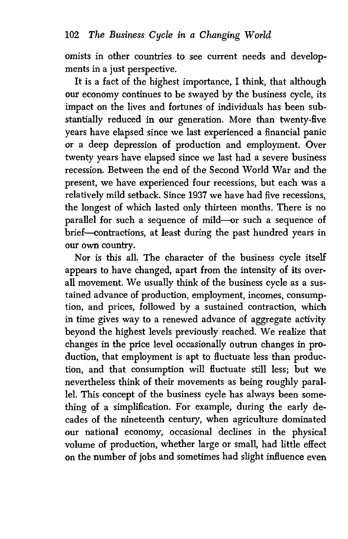omists in other countries to see current needs and developments in a just perspective.

It is a fact of the highest importance, I think, that although our economy continues to be swayed by the business cycle, its impact on the lives and fortunes of individuals has been substantially reduced in our generation. More than twenty-five years have elapsed since we last experienced a financial panic or a deep depression of production and employment. Over twenty years have elapsed since we last had a severe business recession. Between the end of the Second World War and the present, we have experienced four recessions, but each was a relatively mild setback. Since 1937 we have had five recessions, the longest of which lasted only thirteen months. There is no parallel for such a sequence of mild—or such a sequence of brief—contractions, at least during the past hundred years in our own country.

Nor is this all. The character of the business cycle itself appears to have changed, apart from the intensity of its overall movement. We usually think of the business cycle as a sustained advance of production, employment, incomes, consumption, and prices, followed by a sustained contraction, which in time gives way to a renewed advance of aggregate activity beyond the highest levels previously reached. We realize that changes in the price level occasionally outrun changes in production, that employment is apt to fluctuate less than production, and that consumption will fluctuate still less; but we nevertheless think of their movements as being roughly parallel. This concept of the business cycle has always been something of a simplification. For example, during the early decades of the nineteenth century, when agriculture dominated our national economy, occasional declines in the physical volume of production, whether large or small, had little effect on the number of jobs and sometimes had slight influence even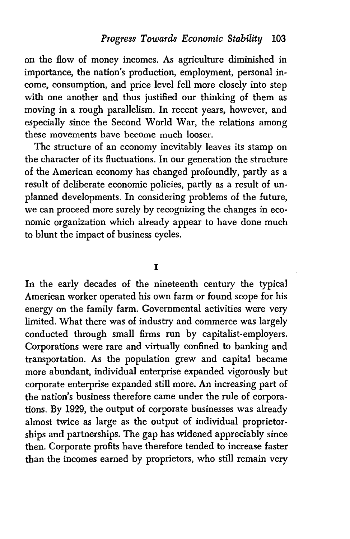on the flow of money incomes. As agriculture diminished in importance, the nation's production, employment, personal income, consumption, and price level fell more closely into step with one another and thus justified our thinking of them as moving in a rough parallelism. In recent years, however, and especially since the Second World War, the relations among these movements have become much looser.

The structure of an economy inevitably leaves its stamp on the character of its fluctuations. In our generation the structure of the American economy has changed profoundly, partly as a result of deliberate economic policies, partly as a result of unplanned developments. In considering problems of the future, we can proceed more surely by recognizing the changes in economic organization which already appear to have done much to blunt the impact of business cycles.

#### T

In the early decades of the nineteenth century the typical American worker operated his own farm or found scope for his energy on the family farm. Governmental activities were very limited. What there was of industry and commerce was largely conducted through small firms run by capitalist-employers. Corporations were rare and virtually confined to banking and transportation. As the population grew and capital became more abundant, individual enterprise expanded vigorously but corporate enterprise expanded still more. An increasing part of the nation's business therefore came under the rule of corporations. By 1929, the output of corporate businesses was already almost twice as large as the output of individual proprietorships and partnerships. The gap has widened appreciably since then. Corporate profits have therefore tended to increase faster than the incomes earned by proprietors, who still remain very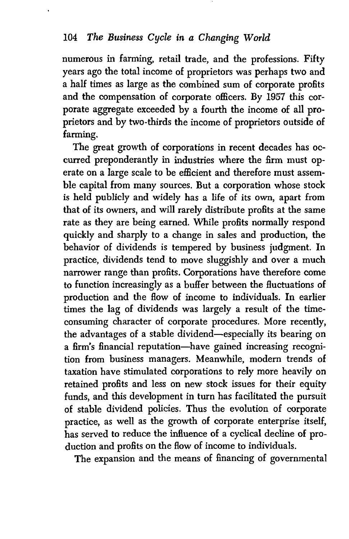numerous in farming, retail trade, and the professions. Fifty years ago the total income of proprietors was perhaps two and a half times as large as the combined sum of corporate profits and the compensation of corporate officers. By 1957 this corporate aggregate exceeded by a fourth the income of all proprietors and by two-thirds the income of proprietors outside of farming.

The great growth of corporations in recent decades has occurred preponderantly in industries where the firm must operate on a large scale to be efficient and therefore must assemble capital from many sources. But a corporation whose stock is held publicly and widely has a life of its own, apart from that of its owners, and will rarely distribute profits at the same rate as they are being earned. While profits normally respond quickly and sharply to a change in sales and production, the behavior of dividends is tempered by business judgment. In practice, dividends tend to move sluggishly and over a much narrower range than profits. Corporations have therefore come to function increasingly as a buffer between the fluctuations of production and the flow of income to individuals. In earlier times the lag of dividends was largely a result of the timeconsuming character of corporate procedures. More recently, the advantages of a stable dividend—especially its bearing on a firm's financial reputation—have gained increasing recognition from business managers. Meanwhile, modem trends of taxation have stimulated corporations to rely more heavily on retained profits and less on new stock issues for their equity funds, and this development in turn has facilitated the pursuit of stable dividend policies. Thus the evolution of corporate practice, as well as the growth of corporate enterprise itself, has served to reduce the influence of a cyclical decline of production and profits on the flow of income to individuals.

The expansion and the means of financing of governmental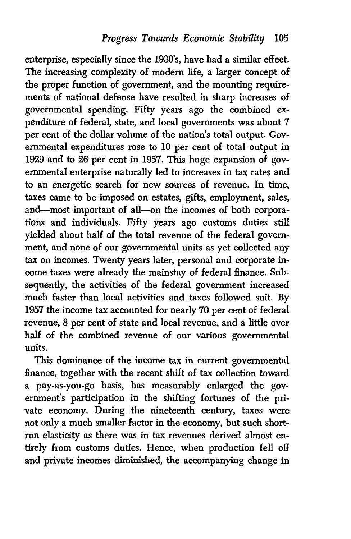enterprise, especially since the 1930's, have had a similar effect. The increasing complexity of modem life, a larger concept of the proper function of government, and the mounting requirements of national defense have resulted in sharp increases of governmental spending. Fifty years ago the combined expenditure of federal, state, and local governments was about 7 per cent of the dollar volume of the nation's total output. Coyernmental expenditures rose to 10 per cent of total output in 1929 and to 26 per cent in 1957. This huge expansion of governmental enterprise naturally led to increases in tax rates and to an energetic search for new sources of revenue. In time, taxes came to be imposed on estates, gifts, employment, sales, and—most important of all—on the incomes of both corporations and individuals. Fifty years ago customs duties still yielded about half of the total revenue of the federal government, and none of our governmental units as yet collected any tax on incomes. Twenty years later, personal and corporate income taxes were already the mainstay of federal finance. Subsequently, the activities of the federal government increased much faster than local activities and taxes followed suit. By 1957 the income tax accounted for nearly 70 per cent of federal revenue, S per cent of state and local revenue, and a little over half of the combined revenue of our various governmental units.

This dominance of the income tax in current governmental finance, together with the recent shift of tax collection toward a pay-as-you-go basis, has measurably enlarged the government's participation in the shifting fortunes of the private economy. During the nineteenth century, taxes were not only a much smaller factor in the economy, but such shortrun elasticity as there was in tax revenues derived almost entirely from customs duties. Hence, when production fell off and private incomes diminished, the accompanying change in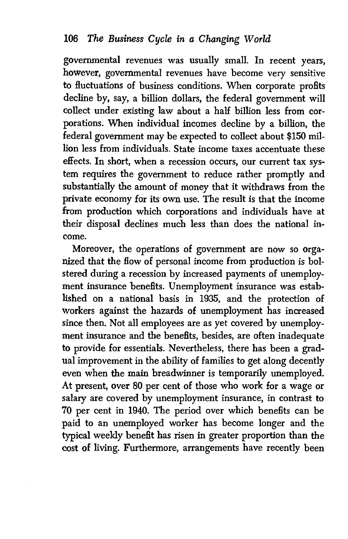governmental revenues was usually small. In recent years, however, governmental revenues have become very sensitive to fluctuations of business conditions. When corporate profits decline by, say, a billion dollars, the federal government will collect under existing law about a half billion less from corporations. When individual incomes decline by a billion, the federal government may be expected to collect about \$150 million less from individuals. State income taxes accentuate these effects. In short, when a recession occurs, our current tax system requires the government to reduce rather promptly and substantially the amount of money that it withdraws from the private economy for its own use. The result is that the income from production which corporations and individuals have at their disposal declines much less than does the national income.

Moreover, the operations of government are now so organized that the flow of personal income from production is bolstered during a recession by increased payments of unemployment insurance benefits. Unemployment insurance was established on a national basis in 1935, and the protection of workers against the hazards of unemployment has increased since then. Not all employees are as yet covered by unemployment insurance and the benefits, besides, are often inadequate to provide for essentials. Nevertheless, there has been a gradual improvement in the ability of families to get along decently even when the main breadwinner is temporarily unemployed. At present, over 80 per cent of those who work for a wage or salary are covered by unemployment insurance, in contrast to 70 per cent in 1940. The period over which benefits can be paid to an unemployed worker has become longer and the typical weekly benefit has risen in greater proportion than the cost of living. Furthermore, arrangements have recently been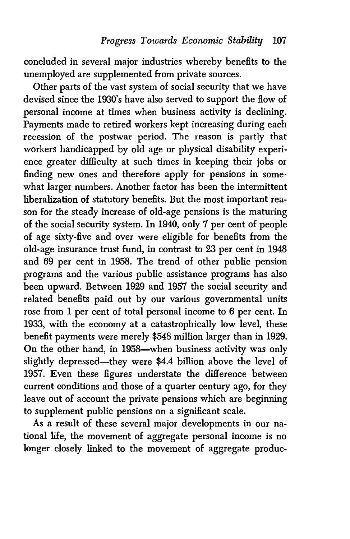concluded in several major industries whereby benefits to the unemployed are supplemented from private sources.

Other parts of the vast system of social security that we have devised since the 1930's have also served to support the flow of personal income at times when business activity is declining. Payments made to retired workers kept increasing during each recession of the postwar period. The reason is partly that workers handicapped by old age or physical disability experience greater difficulty at such times in keeping their jobs or finding new ones and therefore apply for pensions in somewhat larger numbers. Another factor has been the intermittent liberalization of statutory benefits. But the most important reason for the steady increase of old-age pensions is the maturing of the social security system. In 1940, only 7 per cent of people of age sixty-five and over were eligible for benefits from the old-age insurance trust fund, in contrast to 23 per cent in 1948 and 69 per cent in 1958. The trend of other public pension programs and the various public assistance programs has also been upward. Between 1929 and 1957 the social security and related benefits paid out by our various governmental units rose from 1 per cent of total personal income to 6 per cent. In 1933, with the economy at a catastrophically low level, these benefit payments were merely \$548 million larger than in 1929. On the other hand, in 1958—when business activity was only slightly depressed—they were \$4.4 billion above the level of 1957. Even these figures understate the difference between current conditions and those of a quarter century ago, for they leave out of account the private pensions which are beginning to supplement public pensions on a significant scale.

As a result of these several major developments in our national life, the movement of aggregate personal income is no longer closely linked to the movement of aggregate produc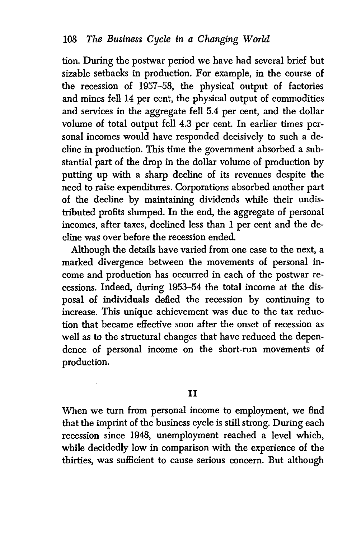tion. During the postwar period we have had several brief but sizable setbacks in production. For example, in the course of the recession of 1957—58, the physical output of factories and mines fell 14 per cent, the physical output of commodities and services in the aggregate fell 5.4 per cent, and the dollar volume of total output fell 4.3 per cent. In earlier times personal incomes would have responded decisively to such a decline in production. This time the government absorbed a substantial part of the drop in the dollar volume of production by putting up with a sharp decline of its revenues despite the need to raise expenditures. Corporations absorbed another part of the decline by maintaining dividends while their undistributed profits slumped. In the end, the aggregate of personal incomes, after taxes, declined less than 1 per cent and the decline was over before the recession ended.

Although the details have varied from one case to the next, a marked divergence between the movements of personal income and production has occurred in each of the postwar recessions. Indeed, during 1953—54 the total income at the disposal of individuals defied the recession by continuing to increase. This unique achievement was due to the tax reduction that became effective soon after the onset of recession as well as to the structural changes that have reduced the dependence of personal income on the short-run movements of production.

### II

When we turn from personal income to employment, we find that the imprint of the business cycle is still strong. During each recession since 1948, unemployment reached a level which, while decidedly low in comparison with the experience of the thirties, was sufficient to cause serious concern. But although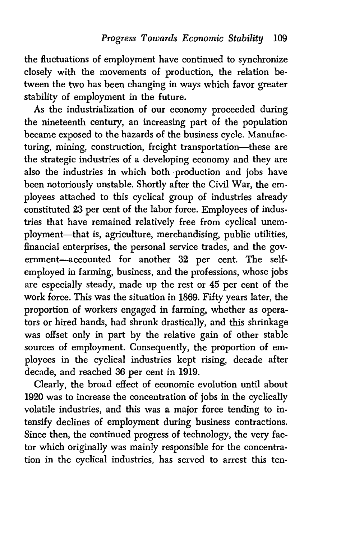the fluctuations of employment have continued to synchronize closely with the movements of production, the relation between the two has been changing in ways which favor greater stability of employment in the future.

As the industrialization of our economy proceeded during the nineteenth century, an increasing part of the population became exposed to the hazards of the business cycle. Manufacturing, mining, construction, freight transportation—these are the strategic industries of a developing economy and they are also the industries in which both production and jobs have been notoriously unstable. Shortly after the Civil War, the employees attached to this cyclical group of industries already constituted 23 per cent of the labor force. Employees of industries that have remained relatively free from cyclical unemployment—that is, agriculture, merchandising, public utilities, financial enterprises, the personal service trades, and the government—accounted for another 32 per cent. The selfemployed in farming, business, and the professions, whose jobs are especially steady, made up the rest or 45 per cent of the work force. This was the situation in 1869. Fifty years later, the proportion of workers engaged in farming, whether as operators or hired hands, had shrunk drastically, and this shrinkage was offset only in part by the relative gain of other stable sources of employment. Consequently, the proportion of employees in the cyclical industries kept rising, decade after decade, and reached 36 per cent in 1919.

Clearly, the broad effect of economic evolution until about 1920 was to increase the concentration of jobs in the cyclically volatile industries, and this was a major force tending to intensify declines of employment during business contractions. Since then, the continued progress of technology, the very factor which originally was mainly responsible for the concentration in the cyclical industries, has served to arrest this ten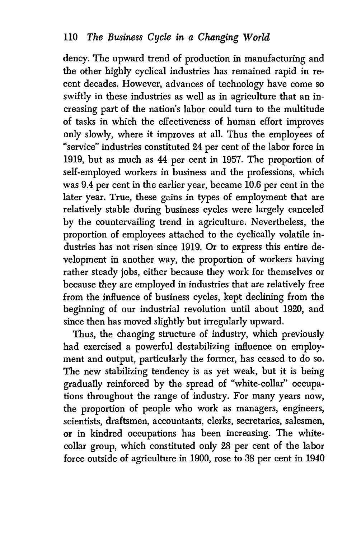dency. The upward trend of production in manufacturing and the other highly cyclical industries has remained rapid in recent decades. However, advances of technology have come so swiftly in these industries as well as in agriculture that an increasing part of the nation's labor could turn to the multitude of tasks in which the effectiveness of human effort improves only slowly, where it improves at all. Thus the employees of "service" industries constituted 24 per cent of the labor force in 1919, but as much as 44 per cent in 1957. The proportion of self-employed workers in business and the professions, which was 9.4 per cent in the earlier year, became 10.6 per cent in the later year. True, these gains in types of employment that are relatively stable during business cycles were largely canceled by the countervailing trend in agriculture. Nevertheless, the proportion of employees attached to the cyclically volatile industries has not risen since 1919. Or to express this entire development in another way, the proportion of workers having rather steady jobs, either because they work for themselves or because they are employed in industries that are relatively free from the influence of business cycles, kept declining from the beginning of our industrial revolution until about 1920, and since then has moved slightly but irregularly upward.

Thus, the changing structure of industry, which previously had exercised a powerful destabilizing influence on employment and output, particularly the former, has ceased to do so. The new stabilizing tendency is as yet weak, but it is being gradually reinforced by the spread of "white-collar" occupations throughout the range of industry. For many years now, the proportion of people who work as managers, engineers, scientists, draftsmen, accountants, clerks, secretaries, salesmen, or in kindred occupations has been increasing. The whitecollar group, which constituted only 23 per cent of the labor force outside of agriculture in 1900, rose to 38 per cent in 1940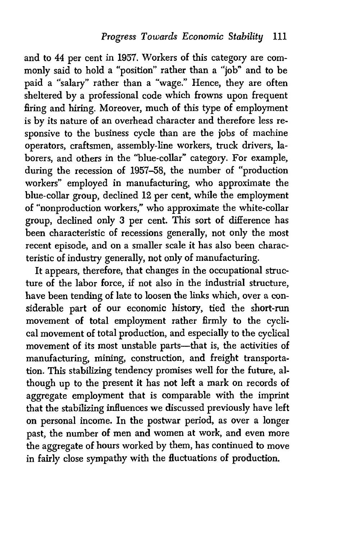and to 44 per cent in 1957. Workers of this category are commonly said to hold a "position" rather than a "job" and to be paid a "salary" rather than a "wage." Hence, they are often sheltered by a professional code which frowns upon frequent firing and hiring. Moreover, much of this type of employment is by its nature of an overhead character and therefore less responsive to the business cycle than are the jobs of machine operators, craftsmen, assembly-line workers, truck drivers, laborers, and others in the "blue-collar" category. For example, during the recession of 1957—58, the number of "production workers" employed in manufacturing, who approximate the blue-collar group, declined 12 per cent, while the employment of "nonproduction workers," who approximate the white-collar group, declined only 3 per cent. This sort of difference has been characteristic of recessions generally, not only the most recent episode, and on a smaller scale it has also been characteristic of industry generally, not only of manufacturing.

It appears, therefore, that changes in the occupational structure of the labor force, if not also in the industrial structure, have been tending of late to loosen the links which, over a considerable part of our economic history, tied the short-run movement of total employment rather firmly to the cyclical movement of total production, and especially to the cyclical movement of its most unstable parts—that is, the activities of manufacturing, mining, construction, and freight transportation. This stabilizing tendency promises well for the future, although up to the present it has not left a mark on records of aggregate employment that is comparable with the imprint that the stabilizing influences we discussed previously have left on personal income. In the postwar period, as over a longer past, the number of men and women at work, and even more the aggregate of hours worked by them, has continued to move in fairly close sympathy with the fluctuations of production.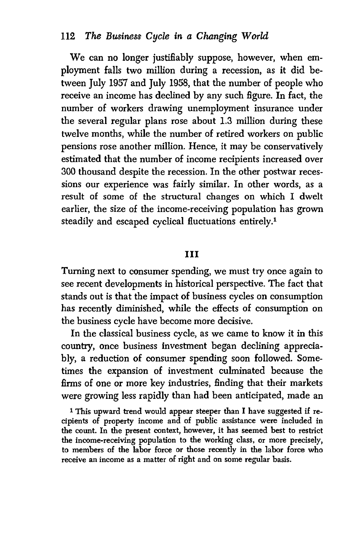### 112 The Business Cycle in a Changing World

We can no longer justifiably suppose, however, when employment falls two million during a recession, as it did between July 1957 and July 1958, that the number of people who receive an income has declined by any such figure. In fact, the number of workers drawing unemployment insurance under the several regular plans rose about 1.3 million during these twelve months, while the number of retired workers on public pensions rose another million. Hence, it may be conservatively estimated that the number of income recipients increased over 300 thousand despite the recession. In the other postwar recessions our experience was fairly similar. In other words, as a result of some of the structural changes on which I dwelt earlier, the size of the income-receiving population has grown steadily and escaped cyclical fluctuations entirely.'

#### LII

Turning next to consumer spending, we must try once again to see recent developments in historical perspective. The fact that stands out is that the impact of business cycles on consumption has recently diminished, while the effects of consumption on the business cycle have become more decisive.

In the classical business cycle, as we came to know it in this country, once business investment began declining appreciably, a reduction of consumer spending soon followed. Sometimes the expansion of investment culminated because the firms of one or more key industries, finding that their markets were growing less rapidly than had been anticipated, made an

<sup>1</sup> This upward trend would appear steeper than I have suggested if recipients of property income and of public assistance were included in the count. In the present context, however, it has seemed best to restrict the income-receiving population to the working class, or more precisely, to members of the labor force or those recently in the labor force who receive an income as a matter of right and on some regular basis.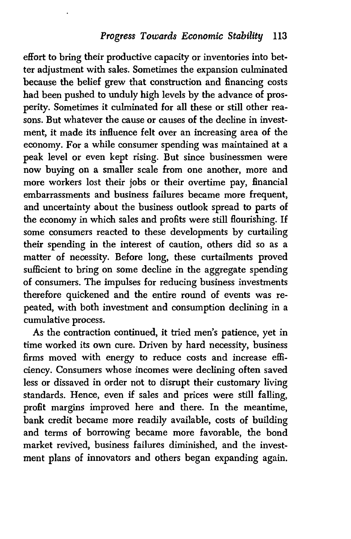effort to bring their productive capacity or inventories into better adjustment with sales. Sometimes the expansion culminated because the belief grew that construction and financing costs had been pushed to unduly high levels by the advance of prosperity. Sometimes it culminated for all these or still other reasons. But whatever the cause or causes of the decline in investment, it made its influence felt over an increasing area of the economy. For a while consumer spending was maintained at a peak level or even kept rising. But since businessmen were now buying on a smaller scale from one another, more and more workers lost their jobs or their overtime pay, financial embarrassments and business failures became more frequent, and uncertainty about the business outlook spread to parts of the economy in which sales and profits were still flourishing. If some consumers reacted to these developments by curtailing their spending in the interest of caution, others did so as a matter of necessity. Before long, these curtailments proved sufficient to bring on some decline in the aggregate spending of consumers. The impulses for reducing business investments therefore quickened and the entire round of events was repeated, with both investment and consumption declining in a cumulative process.

As the contraction continued, it tried men's patience, yet in time worked its own cure. Driven by hard necessity, business firms moved with energy to reduce costs and increase efficiency. Consumers whose incomes were declining often saved less or dissaved in order not to disrupt their customary living standards. Hence, even if sales and prices were still falling, profit margins improved here and there. In the meantime, bank credit became more readily available, costs of building and terms of borrowing became more favorable, the bond market revived, business failures diminished, and the investment plans of innovators and others began expanding again.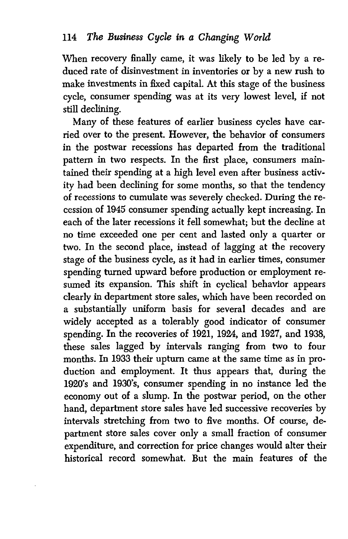When recovery finally came, it was likely to be led by a reduced rate of disinvestment in inventories or by a new rush to make investments in fixed capital. At this stage of the business cycle, consumer spending was at its very lowest level, if not still declining.

Many of these features of earlier business cycles have carried over to the present. However, the behavior of consumers in the postwar recessions has departed from the traditional pattern in two respects. In the first place, consumers maintained their spending at a high level even after business activity had been declining for some months, so that the tendency of recessions to cumulate was severely checked. During the recession of 1945 consumer spending actually kept increasing. In each of the later recessions it fell somewhat; but the decline at no time exceeded one per cent and lasted only a quarter or two. In the second place, instead of lagging at the recovery stage of the business cycle, as it had in earlier times, consumer spending turned upward before production or employment resumed its expansion. This shift in cyclical behavior appears clearly in department store sales, which have been recorded on a substantially uniform basis for several decades and are widely accepted as a tolerably good indicator of consumer spending. In the recoveries of 1921, 1924, and 1927, and 1938, these sales lagged by intervals ranging from two to four months. In 1933 their upturn came at the same time as in production and employment. It thus appears that, during the 1920's and 1930's, consumer spending in no instance led the economy out of a slump. In the postwar period, on the other hand, department store sales have led successive recoveries by intervals stretching from two to five months. Of course, department store sales cover only a small fraction of consumer expenditure, and correction for price changes would alter their historical record somewhat. But the main features of the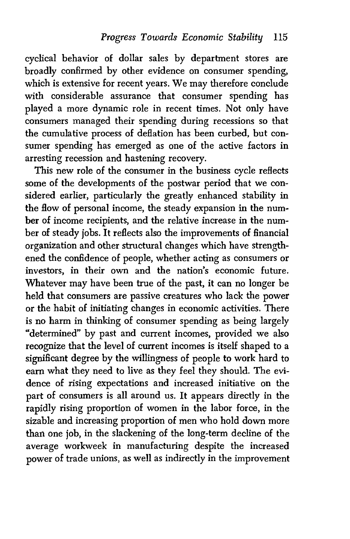cyclical behavior of dollar sales by department stores are broadly confirmed by other evidence on consumer spending, which is extensive for recent years. We may therefore conclude with considerable assurance that consumer spending has played a more dynamic role in recent times. Not only have consumers managed their spending during recessions so that the cumulative process of deflation has been curbed, but consumer spending has emerged as one of the active factors in arresting recession and hastening recovery.

This new role of the consumer in the business cycle reflects some of the developments of the postwar period that we considered earlier, particularly the greatly enhanced stability in the flow of personal income, the steady expansion in the number of income recipients, and the relative increase in the number of steady jobs. It reflects also the improvements of financial organization and other structural changes which have strengthened the confidence of people, whether acting as consumers or investors, in their own and the nation's economic future. Whatever may have been true of the past, it can no longer be held that consumers are passive creatures who lack the power or the habit of initiating changes in economic activities. There is no harm in thinking of consumer spending as being largely "determined" by past and current incomes, provided we also recognize that the level of current incomes is itseff shaped to a significant degree by the willingness of people to work hard to earn what they need to live as they feel they should. The evidence of rising expectations and increased initiative on the part of consumers is all around us. It appears directly in the rapidly rising proportion of women in the labor force, in the sizable and increasing proportion of men who hold down more than one job, in the slackening of the long-term decline of the average workweek in manufacturing despite the increased power of trade unions, as well as indirectly in the improvement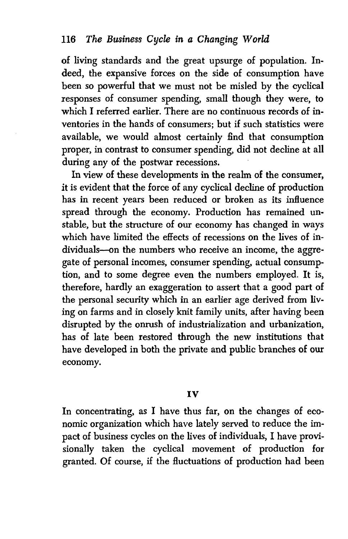of living standards and the great upsurge of population. Indeed, the expansive forces on the side of consumption have been so powerful that we must not be misled by the cyclical responses of consumer spending, small though they were, to which I referred earlier. There are no continuous records of inventories in the hands of consumers; but if such statistics were available, we would almost certainly find that consumption proper, in contrast to consumer spending, did not decline at all during any of the postwar recessions.

In view of these developments in the realm of the consumer, it is evident that the force of any cyclical decline of production has in recent years been reduced or broken as its influence spread through the economy. Production has remained unstable, but the structure of our economy has changed in ways which have limited the effects of recessions on the lives of individuals—on the numbers who receive an income, the aggregate of personal incomes, consumer spending, actual consumption, and to some degree even the numbers employed. It is, therefore, hardly an exaggeration to assert that a good part of the personal security which in an earlier age derived from living on farms and in closely knit family units, after having been disrupted by the onrush of industrialization and urbanization, has of late been restored through the new institutions that have developed in both the private and public branches of our economy.

# Iv

In concentrating, as I have thus far, on the changes of economic organization which have lately served to reduce the impact of business cycles on the lives of individuals, I have provisionally taken the cyclical movement of production for granted. Of course, if the fluctuations of production had been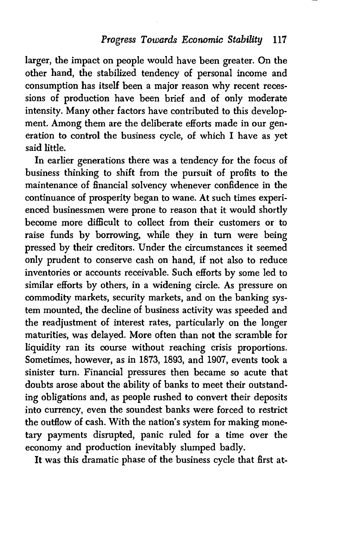larger, the impact on people would have been greater. On the other hand, the stabilized tendency of personal income and consumption has itself been a major reason why recent recessions of production have been brief and of only moderate intensity. Many other factors have contributed to this development. Among them are the deliberate efforts made in our generation to control the business cycle, of which I have as yet said little.

In earlier generations there was a tendency for the focus of business thinking to shift from the pursuit of profits to the maintenance of financial solvency whenever confidence in the continuance of prosperity began to wane. At such times experienced businessmen were prone to reason that it would shortly become more difficult to collect from their customers or to raise funds by borrowing, while they in turn were being pressed by their creditors. Under the circumstances it seemed only prudent to conserve cash on hand, if not also to reduce inventories or accounts receivable. Such efforts by some led to similar efforts by others, in a widening circle. As pressure on commodity markets, security markets, and on the banking system mounted, the decline of business activity was speeded and the readjustment of interest rates, particularly on the longer maturities, was delayed. More often than not the scramble for liquidity ran its course without reaching crisis proportions. Sometimes, however, as in 1873, 1893, and 1907, events took a sinister turn. Financial pressures then became so acute that doubts arose about the ability of banks to meet their outstanding obligations and, as people rushed to convert their deposits into currency, even the soundest banks were forced to restrict the outflow of cash. With the nation's system for making monetary payments disrupted, panic ruled for a time over the economy and production inevitably slumped badly.

It was this dramatic phase of the business cycle that first at-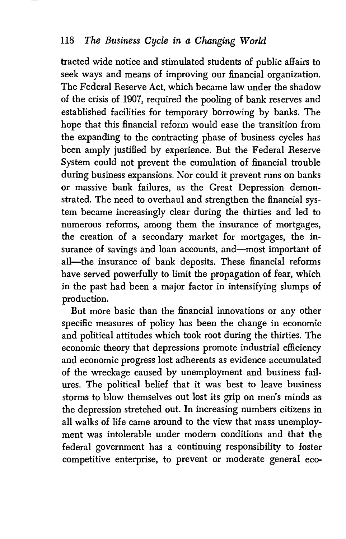tracted wide notice and stimulated students of public affairs to seek ways and means of improving our financial organization. The Federal Reserve Act, which became law under the shadow of the crisis of 1907, required the pooling of bank reserves and established facilities for temporary borrowing by banks. The hope that this financial reform would ease the transition from the expanding to the contracting phase of business cycles has been amply justified by experience. But the Federal Reserve System could not prevent the cumulation of financial trouble during business expansions. Nor could it prevent runs on banks or massive bank failures, as the Great Depression demonstrated. The need to overhaul and strengthen the financial systern became increasingly clear during the thirties and led to numerous reforms, among them the insurance of mortgages, the creation of a secondary market for mortgages, the insurance of savings and loan accounts, and—most important of all—the insurance of bank deposits. These financial reforms have served powerfully to limit the propagation of fear, which in the past had been a major factor in intensifying slumps of production.

But more basic than the financial innovations or any other specific measures of policy has been the change in economic and political attitudes which took root during the thirties. The economic theory that depressions promote industrial efficiency and economic progress lost adherents as evidence accumulated of the wreckage caused by unemployment and business failures. The political belief that it was best to leave business storms to blow themselves out lost its grip on men's minds as the depression stretched out. In increasing numbers citizens in all walks of life came around to the view that mass unemployment was intolerable under modem conditions and that the federal government has a continuing responsibility to foster competitive enterprise, to prevent or moderate general eco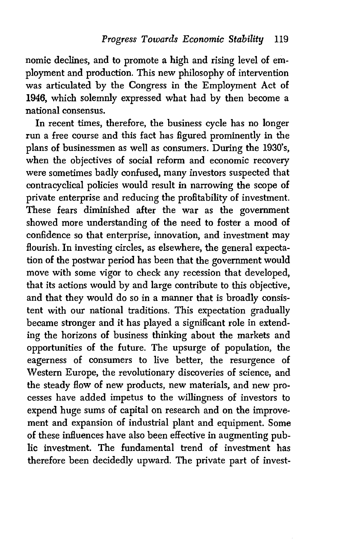nomic declines, and to promote a high and rising level of employment and production. This new philosophy of intervention was articulated by the Congress in the Employment Act of 1946, which solemnly expressed what had by then become a national consensus.

In recent times, therefore, the business cycle has no longer run a free course and this fact has figured prominently in the plans of businessmen as well as consumers. During the 1930's, when the objectives of social reform and economic recovery were sometimes badly confused, many investors suspected that contracydical policies would result in narrowing the scope of private enterprise and reducing the profitability of investment. These fears diminished after the war as the government showed more understanding of the need to foster a mood of confidence so that enterprise, innovation, and investment may flourish. In investing circles, as elsewhere, the general expectation of the postwar period has been that the government would move with some vigor to check any recession that developed, that its actions would by and large contribute to this objective, and that they would do so in a manner that is broadly consistent with our national traditions. This expectation gradually became stronger and it has played a significant role in extending the horizons of business thinking about the markets and opportunities of the future. The upsurge of population, the eagerness of consumers to live better, the resurgence of Western Europe, the revolutionary discoveries of science, and the steady flow of new products, new materials, and new processes have added impetus to the willingness of investors to expend huge sums of capital on research and on the improvement and expansion of industrial plant and equipment. Some of these influences have also been effective in augmenting public investment. The fundamental trend of investment has therefore been decidedly upward. The private part of invest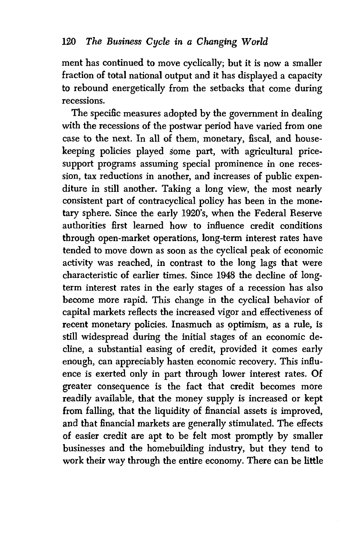ment has continued to move cyclically; but it is now a smaller fraction of total national output and it has displayed a capacity to rebound energetically from the setbacks that come during recessions.

The specific measures adopted by the government in dealing with the recessions of the postwar period have varied from one case to the next. In all of them, monetary, fiscal, and housekeeping policies played some part, with agricultural pricesupport programs assuming special prominence in one recession, tax reductions in another, and increases of public expenditure in still another. Taking a long view, the most nearly consistent part of contracyclical policy has been in the monetary sphere. Since the early 1920's, when the Federal Reserve authorities first learned how to influence credit conditions through open-market operations, long-term interest rates have tended to move down as soon as the cyclical peak of economic activity was reached, in contrast to the long lags that were characteristic of earlier times. Since 1948 the decline of longterm interest rates in the early stages of a recession has also become more rapid. This change in the cyclical behavior of capital markets reflects the increased vigor and effectiveness of recent monetary policies. Inasmuch as optimism, as a rule, is still widespread during the initial stages of an economic decline, a substantial easing of credit, provided it comes early enough, can appreciably hasten economic recovery. This inHuence is exerted only in part through lower interest rates. Of greater consequence is the fact that credit becomes more readily available, that the money supply is increased or kept from falling, that the liquidity of financial assets is improved, and that financial markets are generally stimulated. The effects of easier credit are apt to be felt most promptly by smaller businesses and the homebuilding industry, but they tend to work their way through the entire economy. There can be little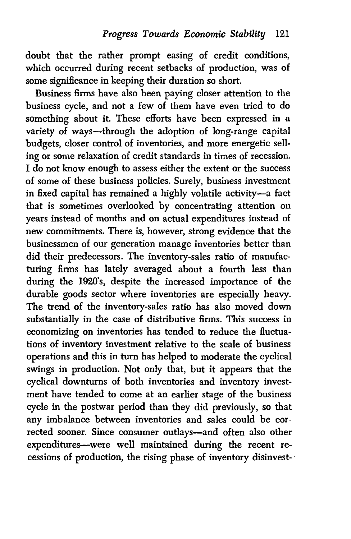doubt that the rather prompt easing of credit conditions, which occurred during recent setbacks of production, was of some significance in keeping their duration so short.

Business finns have also been paying closer attention to the business cycle, and not a few of them have even tried to do something about it. These efforts have been expressed in a variety of ways—through the adoption of long-range capital budgets, closer control of inventories, and more energetic selling or some relaxation of credit standards in times of recession. I do not know enough to assess either the extent or the success of some of these business policies. Surely, business investment in fixed capital has remained a highly volatile activity—a fact that is sometimes overlooked by concentrating attention on years instead of months and on actual expenditures instead of new commitments. There is, however, strong evidence that the businessmen of our generation manage inventories better than did their predecessors. The inventory-sales ratio of manufacturing firms has lately averaged about a fourth less than during the 1920's, despite the increased importance of the durable goods sector where inventories are especially heavy. The trend of the inventory-sales ratio has also moved down substantially in the case of distributive firms. This success in economizing on inventories has tended to reduce the fluctuations of inventory investment relative to the scale of business operations and this in turn has helped to moderate the cyclical swings in production. Not only that, but it appears that the cyclical downturns of both inventories and inventory investment have tended to come at an earlier stage of the business cycle in the postwar period than they did previously, so that any imbalance between inventories and sales could be corrected sooner. Since consumer outlays—and often also other expenditures—were well maintained during the recent recessions of production, the rising phase of inventory disinvest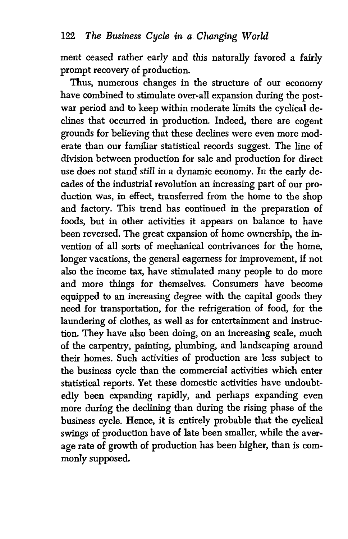ment ceased rather early and this naturally favored a fairly prompt recovery of production.

Thus, numerous changes in the structure of our economy have combined to stimulate over-all expansion during the postwar period and to keep within moderate limits the cyclical declines that occurred in production. Indeed, there are cogent grounds for believing that these declines were even more moderate than our familiar statistical records suggest. The line of division between production for sale and production for direct use does not stand still in a dynamic economy. In the early decades of the industrial revolution an increasing part of our production was, in effect, transferred from the home to the shop and factory. This trend has continued in the preparation of foods, but in other activities it appears on balance to have been reversed. The great expansion of home ownership, the invention of all sorts of mechanical contrivances for the home, longer vacations, the general eagerness for improvement, if not also the income tax, have stimulated many people to do more and more things for themselves. Consumers have become equipped to an increasing degree with the capital goods they need for transportation, for the refrigeration of food, for the laundering of clothes, as well as for entertainment and instruction. They have also been doing, on an increasing scale, much of the carpentry, painting, plumbing, and landscaping around their homes. Such activities of production are less subject to the business cycle than the commercial activities which enter statistical reports. Yet these domestic activities have undoubtedly been expanding rapidly, and perhaps expanding even more during the declining than during the rising phase of the business cycle. Hence, it is entirely probable that the cyclical swings of production have of late been smaller, while the average rate of growth of production has been higher, than is commonly supposed.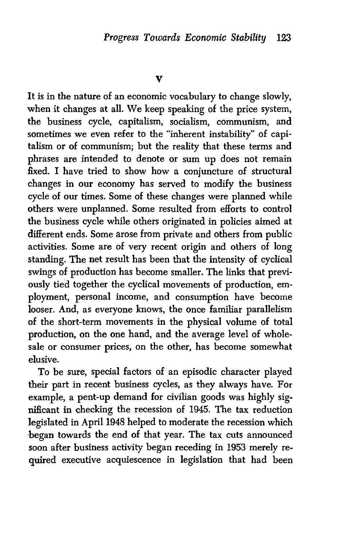## V

It is in the nature of an economic vocabulary to change slowly, when it changes at all. We keep speaking of the price system, the business cycle, capitalism, socialism, communism, and sometimes we even refer to the "inherent instability" of capitalism or of communism; but the reality that these terms and phrases are intended to denote or sum up does not remain fixed. I have tried to show how a conjuncture of structural changes in our economy has served to modify the business cycle of our times. Some of these changes were planned while others were unplanned. Some resulted from efforts to control the business cycle while others originated in policies aimed at different ends. Some arose from private and others from public activities. Some are of very recent origin and others of long standing. The net result has been that the intensity of cyclical swings of production has become smaller. The links that previously tied together the cyclical movements of production, employment, personal income, and consumption have become looser. And, as everyone knows, the once familiar parallelism of the short-term movements in the physical volume of total production, on the one hand, and the average level of wholesale or consumer prices, on the other, has become somewhat elusive.

To be sure, special factors of an episodic character played their part in recent business cycles, as they always have. For example, a pent-up demand for civilian goods was highly significant in checking the recession of 1945. The tax reduction legislated in April 1948 helped to moderate the recession which began towards the end of that year. The tax cuts announced soon after business activity began receding in 1953 merely required executive acquiescence in legislation that had been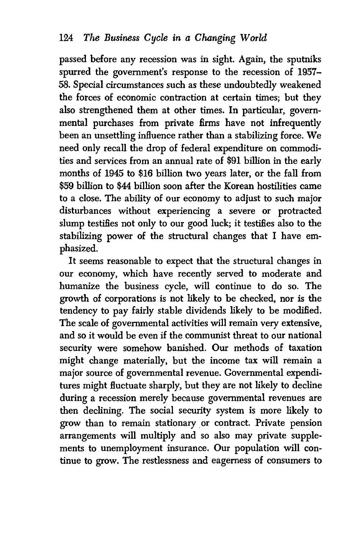passed before any recession was in sight. Again, the sputniks spurred the government's response to the recession of 1957— 58. Special circumstances such as these undoubtedly weakened the forces of economic contraction at certain times; but they also strengthened them at other times. In particular, governmental purchases from private firms have not infrequently been an unsettling influence rather than a stabilizing force. We need only recall the drop of federal expenditure on commodities and services from an annual rate of \$91 billion in the early months of 1945 to \$16 billion two years later, or the fall from \$59 billion to \$44 billion soon after the Korean hostilities came to a close. The ability of our economy to adjust to such major disturbances without experiencing a severe or protracted slump testifies not only to our good luck; it testifies also to the stabilizing power of the structural changes that I have emphasized.

It seems reasonable to expect that the structural changes in our economy, which have recently served to moderate and humanize the business cycle, will continue to do so. The growth of corporations is not likely to be checked, nor is the tendency to pay fairly stable dividends likely to be modified. The scale of governmental activities will remain very extensive, and so it would be even if the communist threat to our national security were somehow banished. Our methods of taxation might change materially, but the income tax will remain a major source of governmental revenue. Governmental expenditures might fluctuate sharply, but they are not likely to decline during a recession merely because governmental revenues are then declining. The social security system is more likely to grow than to remain stationary or contract. Private pension arrangements will multiply and so also may private supplements to unemployment insurance. Our population will continue to grow. The restlessness and eagerness of consumers to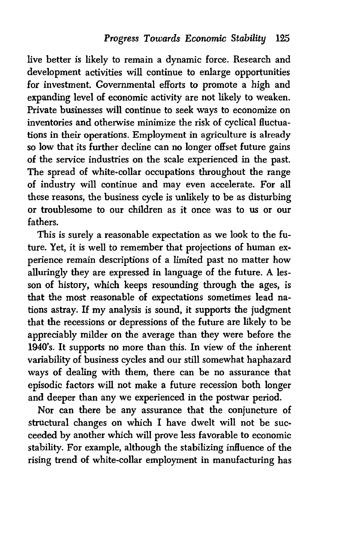live better is likely to remain a dynamic force. Research and development activities will continue to enlarge opportunities for investment. Governmental efforts to promote a high and expanding level of economic activity are not likely to weaken. Private businesses will continue to seek ways to economize on inventories and otherwise minimize the risk of cyclical fluctuations in their operations. Employment in agriculture is already so low that its further decline can no longer offset future gains of the service industries on the scale experienced in the past. The spread of white-collar occupations throughout the range of industry will continue and may even accelerate. For all these reasons, the business cycle is unlikely to be as disturbing or troublesome to our children as it once was to us or our fathers.

This is surely a reasonable expectation as we look to the future. Yet, it is well to remember that projections of human experience remain descriptions of a limited past no matter how alluringly they are expressed in language of the future. A lesson of history, which keeps resounding through the ages, is that the most reasonable of expectations sometimes lead nations astray. If my analysis is sound, it supports the judgment that the recessions or depressions of the future are likely to be appreciably milder on the average than they were before the 1940's. It supports no more than this. In view of the inherent variability of business cycles and our still somewhat haphazard ways of dealing with them, there can be no assurance that episodic factors will not make a future recession both longer and deeper than any we experienced in the postwar period.

Nor can there be any assurance that the conjuncture of structural changes on which I have dwelt will not be succeeded by another which will prove less favorable to economic stability. For example, although the stabilizing influence of the rising trend of white-collar employment in manufacturing has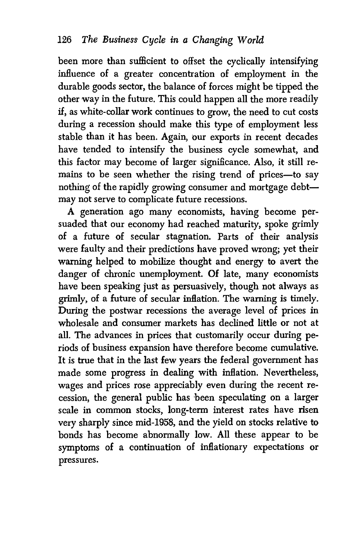been more than sufficient to offset the cyclically intensifying influence of a greater concentration of employment in the durable goods sector, the balance of forces might be tipped the other way in the future. This could happen all the more readily if, as white-collar work continues to grow, the need to cut costs during a recession should make this type of employment less stable than it has been. Again, our exports in recent decades have tended to intensify the business cycle somewhat, and this factor may become of larger significance. Also, it still remains to be seen whether the rising trend of prices—to say nothing of the rapidly growing consumer and mortgage debt may not serve to complicate future recessions.

A generation ago many economists, having become persuaded that our economy had reached maturity, spoke grimly of a future of secular stagnation. Parts of their analysis were faulty and their predictions have proved wrong; yet their warning helped to mobilize thought and energy to avert the danger of chronic unemployment. Of late, many economists have been speaking just as persuasively, though not always as grimly, of a future of secular inflation. The warning is timely. During the postwar recessions the average level of prices in wholesale and consumer markets has declined little or not at all. The advances in prices that customarily occur during periods of business expansion have therefore become cumulative. It is true that in the last few years the federal government has made some progress in dealing with inflation. Nevertheless, wages and prices rose appreciably even during the recent recession, the general public has been speculating on a larger scale in common stocks, long-term interest rates have risen very sharply since mid-1958, and the yield on stocks relative to bonds has become abnormally low. All these appear to be symptoms of a continuation of inflationary expectations or pressures.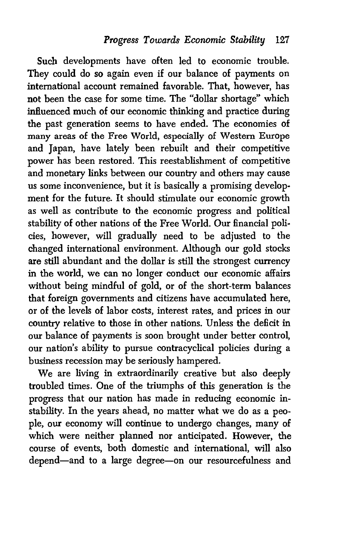Such developments have often led to economic trouble. They could do so again even if our balance of payments on international account remained favorable. That, however, has not been the case for some time. The "dollar shortage" which influenced much of our economic thinking and practice during the past generation seems to have ended. The economies of many areas of the Free World, especially of Western Europe and Japan, have lately been rebuilt and their competitive power has been restored. This reestablishment of competitive and monetary links between our country and others may cause us some inconvenience, but it is basically a promising development for the future. It should stimulate our economic growth as well as contribute to the economic progress and political stability of other nations of the Free World. Our financial policies, however, will gradually need to be adjusted to the changed international environment. Although our gold stocks are still abundant and the doilar is still the strongest currency in the world, we can no longer conduct our economic affairs without being mindful of gold, or of the short-term balances that foreign governments and citizens have accumulated here, or of the levels of labor costs, interest rates, and prices in our country relative to those in other nations. Unless the deficit in our balance of payments is soon brought under better control, our nation's ability to pursue contracycical policies during a business recession may be seriously hampered.

We are living in extraordinarily creative but also deeply troubled times. One of the triumphs of this generation is the progress that our nation has made in reducing economic instability. In the years ahead, no matter what we do as a people, our economy will continue to undergo changes, many of which were neither planned nor anticipated. However, the course of events, both domestic and international, will also depend—and to a large degree—on our resourcefulness and